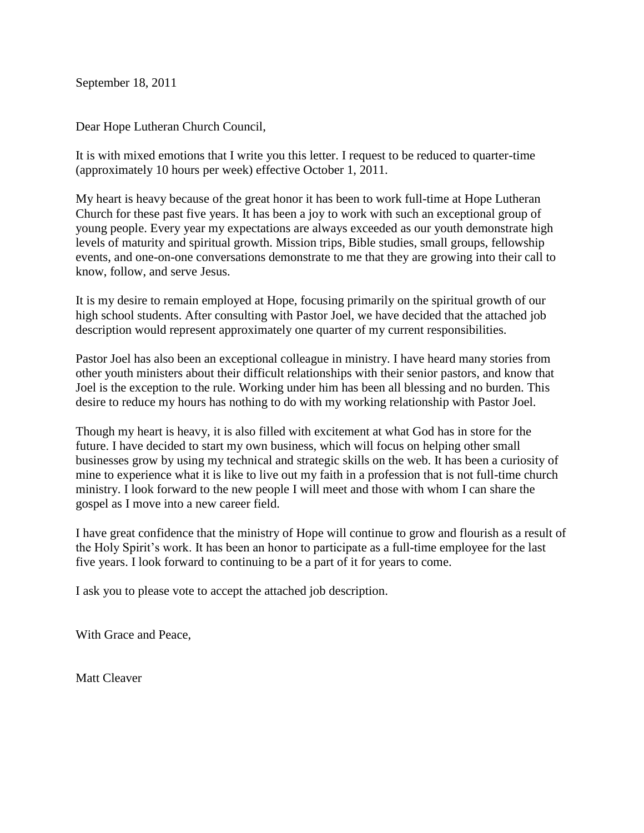September 18, 2011

Dear Hope Lutheran Church Council,

It is with mixed emotions that I write you this letter. I request to be reduced to quarter-time (approximately 10 hours per week) effective October 1, 2011.

My heart is heavy because of the great honor it has been to work full-time at Hope Lutheran Church for these past five years. It has been a joy to work with such an exceptional group of young people. Every year my expectations are always exceeded as our youth demonstrate high levels of maturity and spiritual growth. Mission trips, Bible studies, small groups, fellowship events, and one-on-one conversations demonstrate to me that they are growing into their call to know, follow, and serve Jesus.

It is my desire to remain employed at Hope, focusing primarily on the spiritual growth of our high school students. After consulting with Pastor Joel, we have decided that the attached job description would represent approximately one quarter of my current responsibilities.

Pastor Joel has also been an exceptional colleague in ministry. I have heard many stories from other youth ministers about their difficult relationships with their senior pastors, and know that Joel is the exception to the rule. Working under him has been all blessing and no burden. This desire to reduce my hours has nothing to do with my working relationship with Pastor Joel.

Though my heart is heavy, it is also filled with excitement at what God has in store for the future. I have decided to start my own business, which will focus on helping other small businesses grow by using my technical and strategic skills on the web. It has been a curiosity of mine to experience what it is like to live out my faith in a profession that is not full-time church ministry. I look forward to the new people I will meet and those with whom I can share the gospel as I move into a new career field.

I have great confidence that the ministry of Hope will continue to grow and flourish as a result of the Holy Spirit's work. It has been an honor to participate as a full-time employee for the last five years. I look forward to continuing to be a part of it for years to come.

I ask you to please vote to accept the attached job description.

With Grace and Peace,

Matt Cleaver